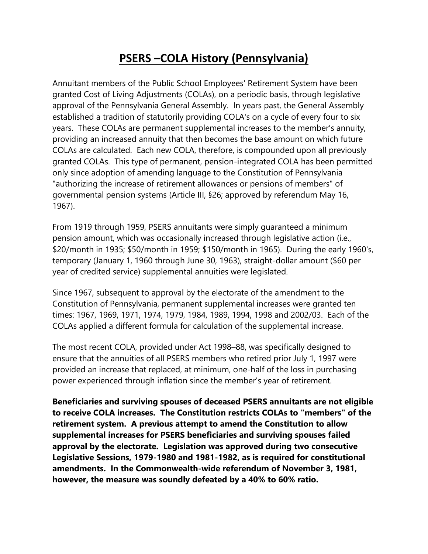# **PSERS –COLA History (Pennsylvania)**

Annuitant members of the Public School Employees' Retirement System have been granted Cost of Living Adjustments (COLAs), on a periodic basis, through legislative approval of the Pennsylvania General Assembly. In years past, the General Assembly established a tradition of statutorily providing COLA's on a cycle of every four to six years. These COLAs are permanent supplemental increases to the member's annuity, providing an increased annuity that then becomes the base amount on which future COLAs are calculated. Each new COLA, therefore, is compounded upon all previously granted COLAs. This type of permanent, pension-integrated COLA has been permitted only since adoption of amending language to the Constitution of Pennsylvania "authorizing the increase of retirement allowances or pensions of members" of governmental pension systems (Article III, §26; approved by referendum May 16, 1967).

From 1919 through 1959, PSERS annuitants were simply guaranteed a minimum pension amount, which was occasionally increased through legislative action (i.e., \$20/month in 1935; \$50/month in 1959; \$150/month in 1965). During the early 1960's, temporary (January 1, 1960 through June 30, 1963), straight-dollar amount (\$60 per year of credited service) supplemental annuities were legislated.

Since 1967, subsequent to approval by the electorate of the amendment to the Constitution of Pennsylvania, permanent supplemental increases were granted ten times: 1967, 1969, 1971, 1974, 1979, 1984, 1989, 1994, 1998 and 2002/03. Each of the COLAs applied a different formula for calculation of the supplemental increase.

The most recent COLA, provided under Act 1998–88, was specifically designed to ensure that the annuities of all PSERS members who retired prior July 1, 1997 were provided an increase that replaced, at minimum, one-half of the loss in purchasing power experienced through inflation since the member's year of retirement.

**Beneficiaries and surviving spouses of deceased PSERS annuitants are not eligible to receive COLA increases. The Constitution restricts COLAs to "members" of the retirement system. A previous attempt to amend the Constitution to allow supplemental increases for PSERS beneficiaries and surviving spouses failed approval by the electorate. Legislation was approved during two consecutive Legislative Sessions, 1979-1980 and 1981-1982, as is required for constitutional amendments. In the Commonwealth-wide referendum of November 3, 1981, however, the measure was soundly defeated by a 40% to 60% ratio.**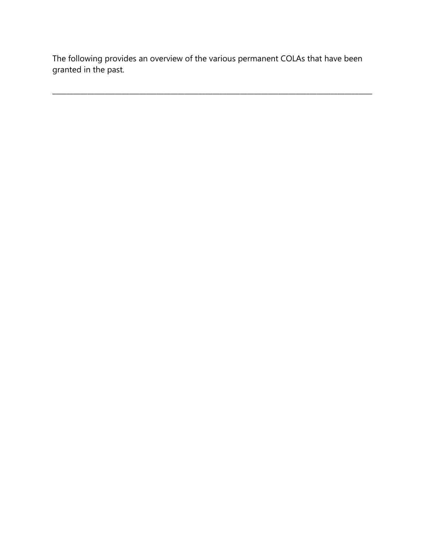The following provides an overview of the various permanent COLAs that have been granted in the past.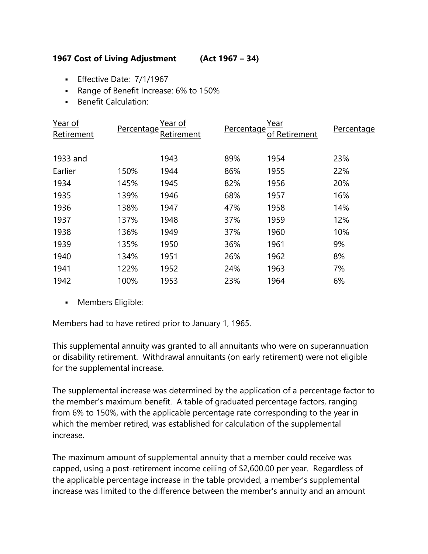## **1967 Cost of Living Adjustment (Act 1967 – 34)**

- **Effective Date: 7/1/1967**
- Range of Benefit Increase: 6% to 150%
- **Benefit Calculation:**

| <u>Year of</u><br>Retirement | Percentage | Year of<br><u>Retirement</u> | Percentage | <u>Year</u><br>of Retirement | Percentage |
|------------------------------|------------|------------------------------|------------|------------------------------|------------|
| 1933 and                     |            | 1943                         | 89%        | 1954                         | 23%        |
| Earlier                      | 150%       | 1944                         | 86%        | 1955                         | 22%        |
| 1934                         | 145%       | 1945                         | 82%        | 1956                         | 20%        |
| 1935                         | 139%       | 1946                         | 68%        | 1957                         | 16%        |
| 1936                         | 138%       | 1947                         | 47%        | 1958                         | 14%        |
| 1937                         | 137%       | 1948                         | 37%        | 1959                         | 12%        |
| 1938                         | 136%       | 1949                         | 37%        | 1960                         | 10%        |
| 1939                         | 135%       | 1950                         | 36%        | 1961                         | 9%         |
| 1940                         | 134%       | 1951                         | 26%        | 1962                         | 8%         |
| 1941                         | 122%       | 1952                         | 24%        | 1963                         | 7%         |
| 1942                         | 100%       | 1953                         | 23%        | 1964                         | 6%         |

**Members Eligible:** 

Members had to have retired prior to January 1, 1965.

This supplemental annuity was granted to all annuitants who were on superannuation or disability retirement. Withdrawal annuitants (on early retirement) were not eligible for the supplemental increase.

The supplemental increase was determined by the application of a percentage factor to the member's maximum benefit. A table of graduated percentage factors, ranging from 6% to 150%, with the applicable percentage rate corresponding to the year in which the member retired, was established for calculation of the supplemental increase.

The maximum amount of supplemental annuity that a member could receive was capped, using a post-retirement income ceiling of \$2,600.00 per year. Regardless of the applicable percentage increase in the table provided, a member's supplemental increase was limited to the difference between the member's annuity and an amount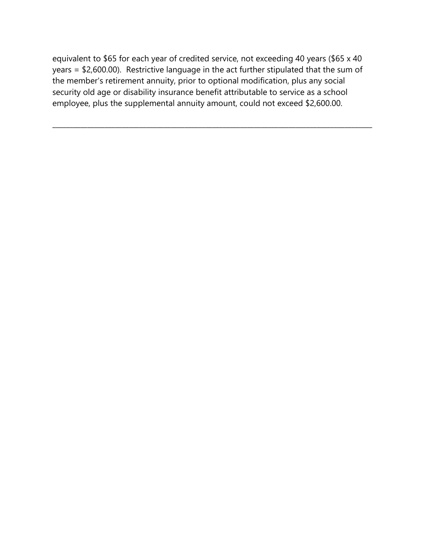equivalent to \$65 for each year of credited service, not exceeding 40 years (\$65 x 40 years = \$2,600.00). Restrictive language in the act further stipulated that the sum of the member's retirement annuity, prior to optional modification, plus any social security old age or disability insurance benefit attributable to service as a school employee, plus the supplemental annuity amount, could not exceed \$2,600.00.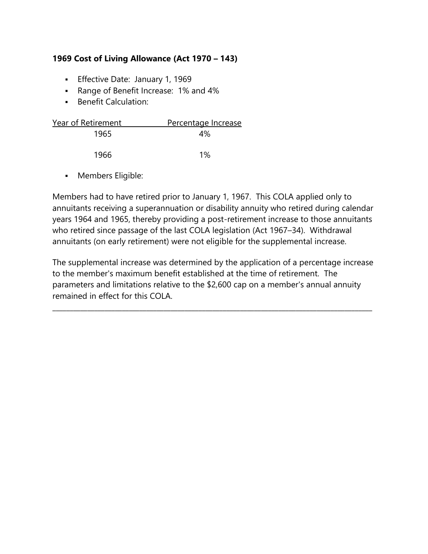## **1969 Cost of Living Allowance (Act 1970 – 143)**

- **Effective Date: January 1, 1969**
- Range of Benefit Increase: 1% and 4%
- **Benefit Calculation:**

| Year of Retirement | Percentage Increase |
|--------------------|---------------------|
| 1965               | $4\%$               |
| 1966               | $1\%$               |

Members Eligible:

Members had to have retired prior to January 1, 1967. This COLA applied only to annuitants receiving a superannuation or disability annuity who retired during calendar years 1964 and 1965, thereby providing a post-retirement increase to those annuitants who retired since passage of the last COLA legislation (Act 1967–34). Withdrawal annuitants (on early retirement) were not eligible for the supplemental increase.

The supplemental increase was determined by the application of a percentage increase to the member's maximum benefit established at the time of retirement. The parameters and limitations relative to the \$2,600 cap on a member's annual annuity remained in effect for this COLA.

 $\_$  ,  $\_$  ,  $\_$  ,  $\_$  ,  $\_$  ,  $\_$  ,  $\_$  ,  $\_$  ,  $\_$  ,  $\_$  ,  $\_$  ,  $\_$  ,  $\_$  ,  $\_$  ,  $\_$  ,  $\_$  ,  $\_$  ,  $\_$  ,  $\_$  ,  $\_$  ,  $\_$  ,  $\_$  ,  $\_$  ,  $\_$  ,  $\_$  ,  $\_$  ,  $\_$  ,  $\_$  ,  $\_$  ,  $\_$  ,  $\_$  ,  $\_$  ,  $\_$  ,  $\_$  ,  $\_$  ,  $\_$  ,  $\_$  ,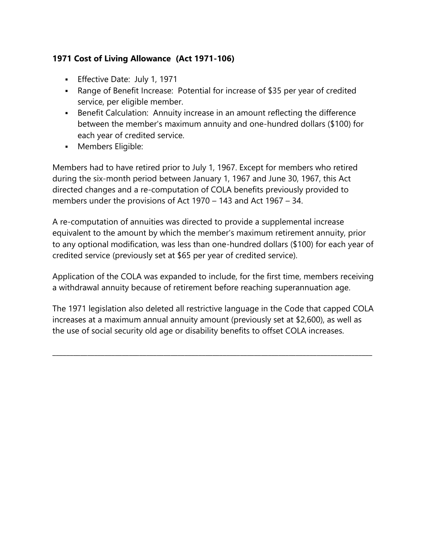# **1971 Cost of Living Allowance (Act 1971-106)**

- **Effective Date: July 1, 1971**
- Range of Benefit Increase: Potential for increase of \$35 per year of credited service, per eligible member.
- Benefit Calculation: Annuity increase in an amount reflecting the difference between the member's maximum annuity and one-hundred dollars (\$100) for each year of credited service.
- **Members Eligible:**

Members had to have retired prior to July 1, 1967. Except for members who retired during the six-month period between January 1, 1967 and June 30, 1967, this Act directed changes and a re-computation of COLA benefits previously provided to members under the provisions of Act 1970 – 143 and Act 1967 – 34.

A re-computation of annuities was directed to provide a supplemental increase equivalent to the amount by which the member's maximum retirement annuity, prior to any optional modification, was less than one-hundred dollars (\$100) for each year of credited service (previously set at \$65 per year of credited service).

Application of the COLA was expanded to include, for the first time, members receiving a withdrawal annuity because of retirement before reaching superannuation age.

The 1971 legislation also deleted all restrictive language in the Code that capped COLA increases at a maximum annual annuity amount (previously set at \$2,600), as well as the use of social security old age or disability benefits to offset COLA increases.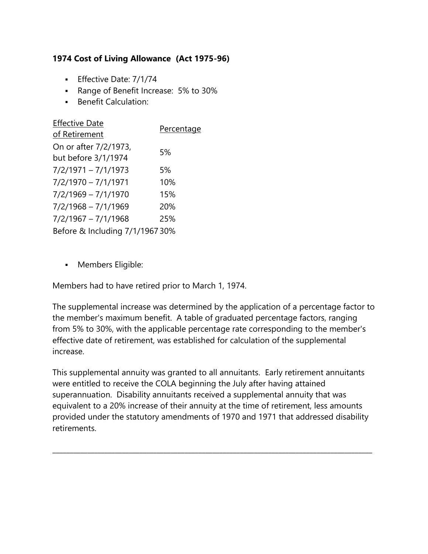# **1974 Cost of Living Allowance (Act 1975-96)**

- **Effective Date: 7/1/74**
- Range of Benefit Increase: 5% to 30%
- **Benefit Calculation:**

| <b>Effective Date</b>           |            |
|---------------------------------|------------|
| of Retirement                   | Percentage |
| On or after 7/2/1973,           | 5%         |
| but before 3/1/1974             |            |
| 7/2/1971 - 7/1/1973             | 5%         |
| $7/2/1970 - 7/1/1971$           | 10%        |
| $7/2/1969 - 7/1/1970$           | 15%        |
| $7/2/1968 - 7/1/1969$           | 20%        |
| $7/2/1967 - 7/1/1968$           | 25%        |
| Before & Including 7/1/1967 30% |            |

**Members Eligible:** 

Members had to have retired prior to March 1, 1974.

The supplemental increase was determined by the application of a percentage factor to the member's maximum benefit. A table of graduated percentage factors, ranging from 5% to 30%, with the applicable percentage rate corresponding to the member's effective date of retirement, was established for calculation of the supplemental increase.

This supplemental annuity was granted to all annuitants. Early retirement annuitants were entitled to receive the COLA beginning the July after having attained superannuation. Disability annuitants received a supplemental annuity that was equivalent to a 20% increase of their annuity at the time of retirement, less amounts provided under the statutory amendments of 1970 and 1971 that addressed disability retirements.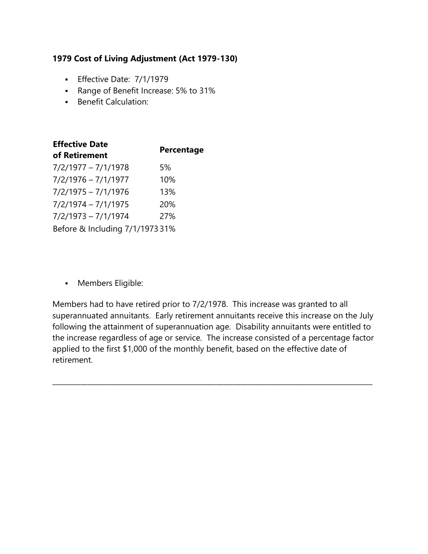#### **1979 Cost of Living Adjustment (Act 1979-130)**

- **Effective Date: 7/1/1979**
- Range of Benefit Increase: 5% to 31%
- **Benefit Calculation:**

| <b>Effective Date</b>           |            |  |
|---------------------------------|------------|--|
| of Retirement                   | Percentage |  |
| $7/2/1977 - 7/1/1978$           | 5%         |  |
| $7/2/1976 - 7/1/1977$           | 10%        |  |
| $7/2/1975 - 7/1/1976$           | 13%        |  |
| $7/2/1974 - 7/1/1975$           | 20%        |  |
| $7/2/1973 - 7/1/1974$           | 27%        |  |
| Before & Including 7/1/1973 31% |            |  |

**-** Members Eligible:

Members had to have retired prior to 7/2/1978. This increase was granted to all superannuated annuitants. Early retirement annuitants receive this increase on the July following the attainment of superannuation age. Disability annuitants were entitled to the increase regardless of age or service. The increase consisted of a percentage factor applied to the first \$1,000 of the monthly benefit, based on the effective date of retirement.

 $\_$  ,  $\_$  ,  $\_$  ,  $\_$  ,  $\_$  ,  $\_$  ,  $\_$  ,  $\_$  ,  $\_$  ,  $\_$  ,  $\_$  ,  $\_$  ,  $\_$  ,  $\_$  ,  $\_$  ,  $\_$  ,  $\_$  ,  $\_$  ,  $\_$  ,  $\_$  ,  $\_$  ,  $\_$  ,  $\_$  ,  $\_$  ,  $\_$  ,  $\_$  ,  $\_$  ,  $\_$  ,  $\_$  ,  $\_$  ,  $\_$  ,  $\_$  ,  $\_$  ,  $\_$  ,  $\_$  ,  $\_$  ,  $\_$  ,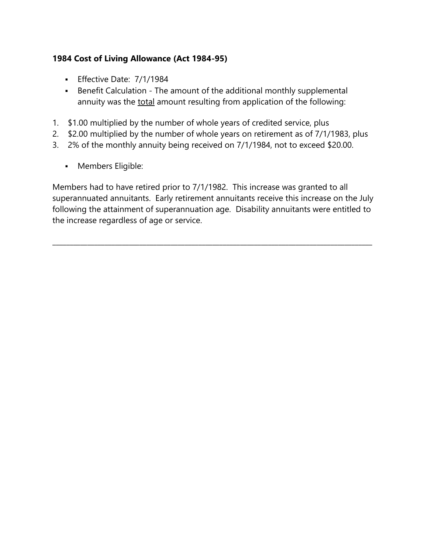## **1984 Cost of Living Allowance (Act 1984-95)**

- **Effective Date: 7/1/1984**
- Benefit Calculation The amount of the additional monthly supplemental annuity was the total amount resulting from application of the following:
- 1. \$1.00 multiplied by the number of whole years of credited service, plus
- 2. \$2.00 multiplied by the number of whole years on retirement as of 7/1/1983, plus
- 3. 2% of the monthly annuity being received on 7/1/1984, not to exceed \$20.00.
	- **Members Eligible:**

Members had to have retired prior to 7/1/1982. This increase was granted to all superannuated annuitants. Early retirement annuitants receive this increase on the July following the attainment of superannuation age. Disability annuitants were entitled to the increase regardless of age or service.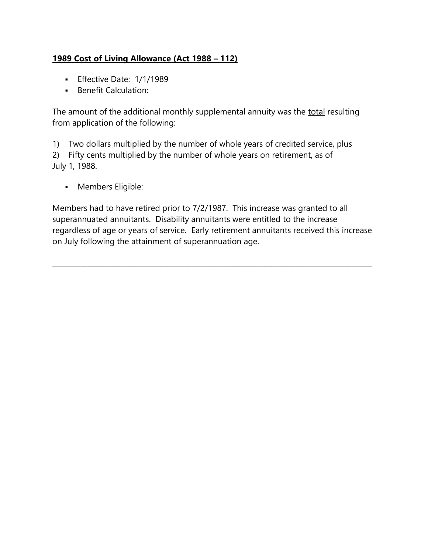# **1989 Cost of Living Allowance (Act 1988 – 112)**

- **Effective Date: 1/1/1989**
- **Benefit Calculation:**

The amount of the additional monthly supplemental annuity was the total resulting from application of the following:

1) Two dollars multiplied by the number of whole years of credited service, plus 2) Fifty cents multiplied by the number of whole years on retirement, as of July 1, 1988.

**Members Eligible:** 

Members had to have retired prior to 7/2/1987. This increase was granted to all superannuated annuitants. Disability annuitants were entitled to the increase regardless of age or years of service. Early retirement annuitants received this increase on July following the attainment of superannuation age.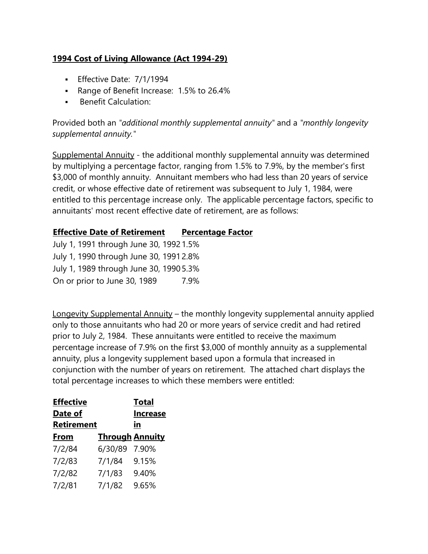## **1994 Cost of Living Allowance (Act 1994-29)**

- **Effective Date: 7/1/1994**
- Range of Benefit Increase: 1.5% to 26.4%
- **Benefit Calculation:**

Provided both an *"additional monthly supplemental annuity"* and a *"monthly longevity supplemental annuity."*

Supplemental Annuity - the additional monthly supplemental annuity was determined by multiplying a percentage factor, ranging from 1.5% to 7.9%, by the member's first \$3,000 of monthly annuity. Annuitant members who had less than 20 years of service credit, or whose effective date of retirement was subsequent to July 1, 1984, were entitled to this percentage increase only. The applicable percentage factors, specific to annuitants' most recent effective date of retirement, are as follows:

# **Effective Date of Retirement Percentage Factor**

July 1, 1991 through June 30, 19921.5% July 1, 1990 through June 30, 19912.8% July 1, 1989 through June 30, 19905.3% On or prior to June 30, 1989 7.9%

Longevity Supplemental Annuity – the monthly longevity supplemental annuity applied only to those annuitants who had 20 or more years of service credit and had retired prior to July 2, 1984. These annuitants were entitled to receive the maximum percentage increase of 7.9% on the first \$3,000 of monthly annuity as a supplemental annuity, plus a longevity supplement based upon a formula that increased in conjunction with the number of years on retirement. The attached chart displays the total percentage increases to which these members were entitled:

| <b>Effective</b> |                        | <b>Total</b>    |
|------------------|------------------------|-----------------|
| Date of          |                        | <b>Increase</b> |
| Retirement       |                        | in              |
| From             | <b>Through Annuity</b> |                 |
| 7/2/84           | 6/30/89                | 7.90%           |
| 7/2/83           | 7/1/84                 | 9.15%           |
| 7/2/82           | 7/1/83                 | 9.40%           |
| 7/2/81           | 7/1/82                 | 9.65%           |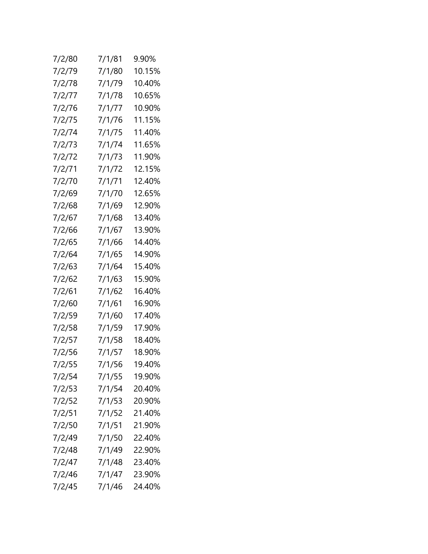| 7/2/80 | 7/1/81 | 9.90%  |
|--------|--------|--------|
| 7/2/79 | 7/1/80 | 10.15% |
| 7/2/78 | 7/1/79 | 10.40% |
| 7/2/77 | 7/1/78 | 10.65% |
| 7/2/76 | 7/1/77 | 10.90% |
| 7/2/75 | 7/1/76 | 11.15% |
| 7/2/74 | 7/1/75 | 11.40% |
| 7/2/73 | 7/1/74 | 11.65% |
| 7/2/72 | 7/1/73 | 11.90% |
| 7/2/71 | 7/1/72 | 12.15% |
| 7/2/70 | 7/1/71 | 12.40% |
| 7/2/69 | 7/1/70 | 12.65% |
| 7/2/68 | 7/1/69 | 12.90% |
| 7/2/67 | 7/1/68 | 13.40% |
| 7/2/66 | 7/1/67 | 13.90% |
| 7/2/65 | 7/1/66 | 14.40% |
| 7/2/64 | 7/1/65 | 14.90% |
| 7/2/63 | 7/1/64 | 15.40% |
| 7/2/62 | 7/1/63 | 15.90% |
| 7/2/61 | 7/1/62 | 16.40% |
| 7/2/60 | 7/1/61 | 16.90% |
| 7/2/59 | 7/1/60 | 17.40% |
| 7/2/58 | 7/1/59 | 17.90% |
| 7/2/57 | 7/1/58 | 18.40% |
| 7/2/56 | 7/1/57 | 18.90% |
| 7/2/55 | 7/1/56 | 19.40% |
| 7/2/54 | 7/1/55 | 19.90% |
| 7/2/53 | 7/1/54 | 20.40% |
| 7/2/52 | 7/1/53 | 20.90% |
| 7/2/51 | 7/1/52 | 21.40% |
| 7/2/50 | 7/1/51 | 21.90% |
| 7/2/49 | 7/1/50 | 22.40% |
| 7/2/48 | 7/1/49 | 22.90% |
| 7/2/47 | 7/1/48 | 23.40% |
| 7/2/46 | 7/1/47 | 23.90% |
| 7/2/45 | 7/1/46 | 24.40% |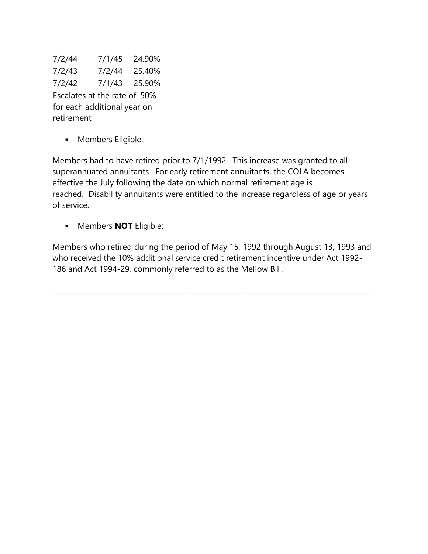7/2/44 7/1/45 24.90% 7/2/43 7/2/44 25.40% 7/2/42 7/1/43 25.90% Escalates at the rate of .50% for each additional year on retirement

**Members Eligible:** 

Members had to have retired prior to 7/1/1992. This increase was granted to all superannuated annuitants. For early retirement annuitants, the COLA becomes effective the July following the date on which normal retirement age is reached. Disability annuitants were entitled to the increase regardless of age or years of service.

Members **NOT** Eligible:

Members who retired during the period of May 15, 1992 through August 13, 1993 and who received the 10% additional service credit retirement incentive under Act 1992- 186 and Act 1994-29, commonly referred to as the Mellow Bill.

 $\_$  ,  $\_$  ,  $\_$  ,  $\_$  ,  $\_$  ,  $\_$  ,  $\_$  ,  $\_$  ,  $\_$  ,  $\_$  ,  $\_$  ,  $\_$  ,  $\_$  ,  $\_$  ,  $\_$  ,  $\_$  ,  $\_$  ,  $\_$  ,  $\_$  ,  $\_$  ,  $\_$  ,  $\_$  ,  $\_$  ,  $\_$  ,  $\_$  ,  $\_$  ,  $\_$  ,  $\_$  ,  $\_$  ,  $\_$  ,  $\_$  ,  $\_$  ,  $\_$  ,  $\_$  ,  $\_$  ,  $\_$  ,  $\_$  ,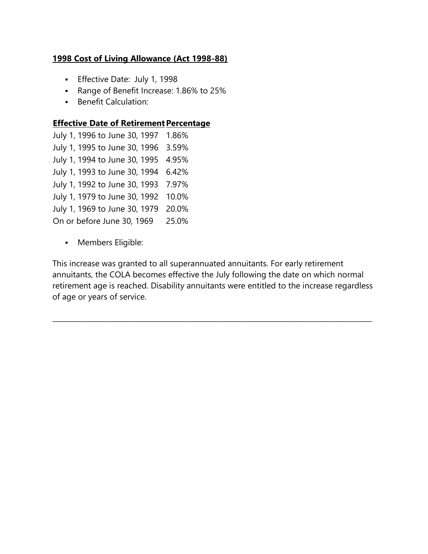## **1998 Cost of Living Allowance (Act 1998-88)**

- **Effective Date: July 1, 1998**
- Range of Benefit Increase: 1.86% to 25%
- **Benefit Calculation:**

#### **Effective Date of Retirement Percentage**

July 1, 1996 to June 30, 1997 1.86% July 1, 1995 to June 30, 1996 3.59% July 1, 1994 to June 30, 1995 4.95% July 1, 1993 to June 30, 1994 6.42% July 1, 1992 to June 30, 1993 7.97% July 1, 1979 to June 30, 1992 10.0% July 1, 1969 to June 30, 1979 20.0% On or before June 30, 1969 25.0%

**Members Eligible:** 

This increase was granted to all superannuated annuitants. For early retirement annuitants, the COLA becomes effective the July following the date on which normal retirement age is reached. Disability annuitants were entitled to the increase regardless of age or years of service.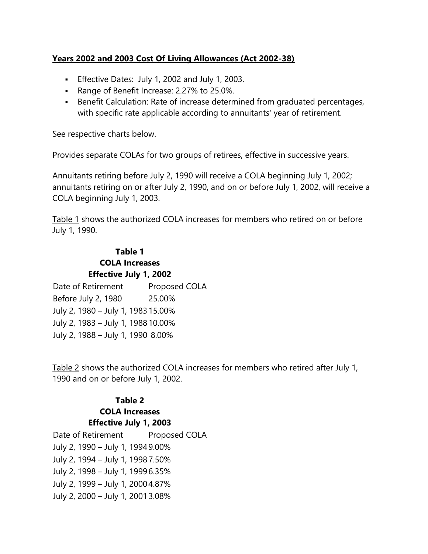#### **Years 2002 and 2003 Cost Of Living Allowances (Act 2002-38)**

- Effective Dates: July 1, 2002 and July 1, 2003.
- Range of Benefit Increase: 2.27% to 25.0%.
- Benefit Calculation: Rate of increase determined from graduated percentages, with specific rate applicable according to annuitants' year of retirement.

See respective charts below.

Provides separate COLAs for two groups of retirees, effective in successive years.

Annuitants retiring before July 2, 1990 will receive a COLA beginning July 1, 2002; annuitants retiring on or after July 2, 1990, and on or before July 1, 2002, will receive a COLA beginning July 1, 2003.

Table 1 shows the authorized COLA increases for members who retired on or before July 1, 1990.

## **Table 1 COLA Increases Effective July 1, 2002**

Date of Retirement Proposed COLA Before July 2, 1980 25.00% July 2, 1980 – July 1, 1983 15.00% July 2, 1983 – July 1, 1988 10.00% July 2, 1988 – July 1, 1990 8.00%

Table 2 shows the authorized COLA increases for members who retired after July 1, 1990 and on or before July 1, 2002.

## **Table 2 COLA Increases Effective July 1, 2003**

| Date of Retirement                | Proposed COLA |
|-----------------------------------|---------------|
| July 2, 1990 - July 1, 1994 9.00% |               |
| July 2, 1994 - July 1, 19987.50%  |               |
| July 2, 1998 - July 1, 1999 6.35% |               |
| July 2, 1999 - July 1, 2000 4.87% |               |
| July 2, 2000 - July 1, 2001 3.08% |               |
|                                   |               |